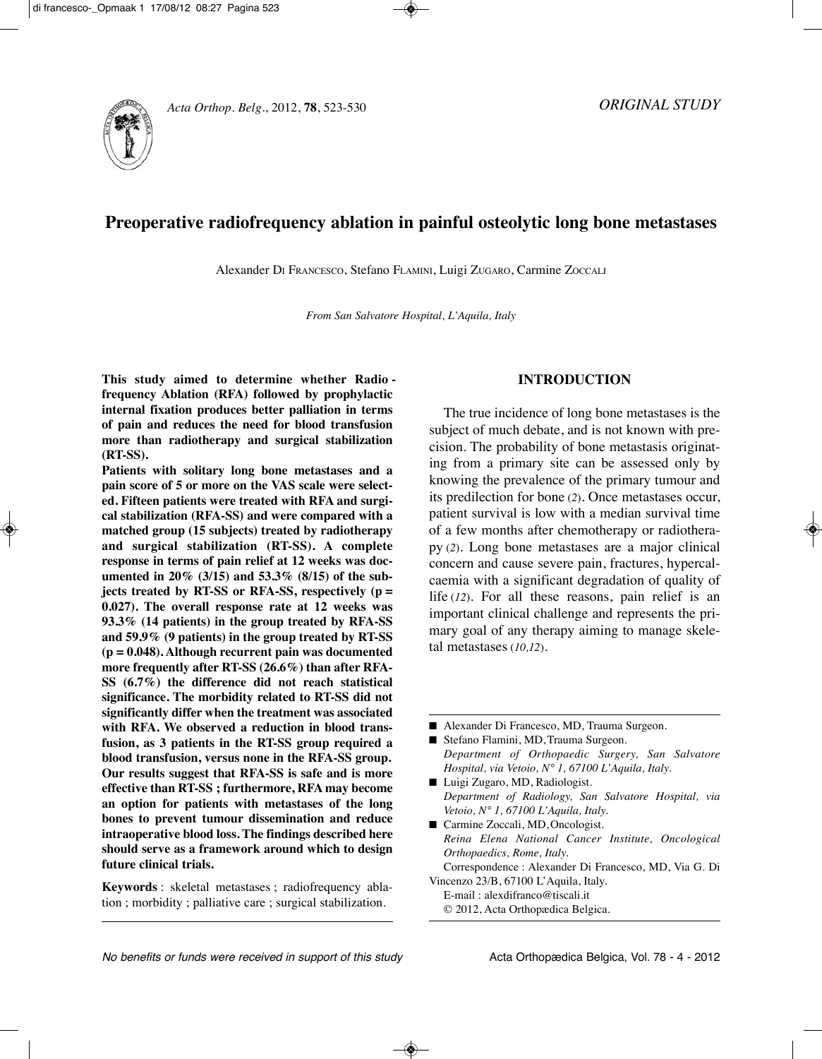

# **Preoperative radiofrequency ablation in painful osteolytic long bone metastases**

Alexander DI FRAnCESCO, Stefano FLAMInI, Luigi ZuGARO, Carmine ZOCCALI

*From San Salvatore Hospital, L'Aquila, Italy*

**This study aimed to determine whether Radio frequency Ablation (RFA) followed by prophylactic internal fixation produces better palliation in terms of pain and reduces the need for blood transfusion more than radiotherapy and surgical stabilization (RT-SS).** 

**Patients with solitary long bone metastases and a pain score of 5 or more on the VAS scale were selected. Fifteen patients were treated with RFA and surgical stabilization (RFA-SS) and were compared with a matched group (15 subjects) treated by radiotherapy and surgical stabilization (RT-SS). A complete response in terms of pain relief at 12 weeks was documented in 20% (3/15) and 53.3% (8/15) of the subjects treated by RT-SS or RFA-SS, respectively (p = 0.027). The overall response rate at 12 weeks was 93.3% (14 patients) in the group treated by RFA-SS and 59.9% (9 patients) in the group treated by RT-SS (p = 0.048). Although recurrent pain was documented more frequently after RT-SS (26.6%) than after RFA-SS (6.7%) the difference did not reach statistical significance. The morbidity related to RT-SS did not significantly differ when the treatment was associated** with RFA. We observed a reduction in blood trans**fusion, as 3 patients in the RT-SS group required a blood transfusion, versus none in the RFA-SS group. Our results suggest that RFA-SS is safe and is more effective than RT-SS ; furthermore, RFA may become an option for patients with metastases of the long bones to prevent tumour dissemination and reduce intraoperative blood loss. The findings described here should serve as a framework around which to design future clinical trials.**

**Keywords** : skeletal metastases ; radiofrequency ablation ; morbidity ; palliative care ; surgical stabilization.

# **INTRODUCTION**

The true incidence of long bone metastases is the subject of much debate, and is not known with precision. The probability of bone metastasis originating from a primary site can be assessed only by knowing the prevalence of the primary tumour and its predilection for bone (*2*). Once metastases occur, patient survival is low with a median survival time of a few months after chemotherapy or radiotherapy (*2*). Long bone metastases are a major clinical concern and cause severe pain, fractures, hypercalcaemia with a significant degradation of quality of life (*12*). For all these reasons, pain relief is an important clinical challenge and represents the primary goal of any therapy aiming to manage skeletal metastases (*10,12*).

■ Alexander Di Francesco, MD, Trauma Surgeon.

- Stefano Flamini, MD, Trauma Surgeon. *Department of Orthopaedic Surgery, San Salvatore Hospital, via Vetoio, N° 1, 67100 L'Aquila, Italy.*
- Luigi Zugaro, MD, Radiologist. *Department of Radiology, San Salvatore Hospital, via Vetoio, N° 1, 67100 L'Aquila, Italy.*
- Carmine Zoccali, MD, Oncologist. *Reina Elena National Cancer Institute, Oncological Orthopaedics, Rome, Italy.*
- Correspondence : Alexander Di Francesco, MD, Via G. Di Vincenzo 23/B, 67100 L'Aquila, Italy.
- E-mail : alexdifranco@tiscali.it © 2012, Acta Orthopædica Belgica.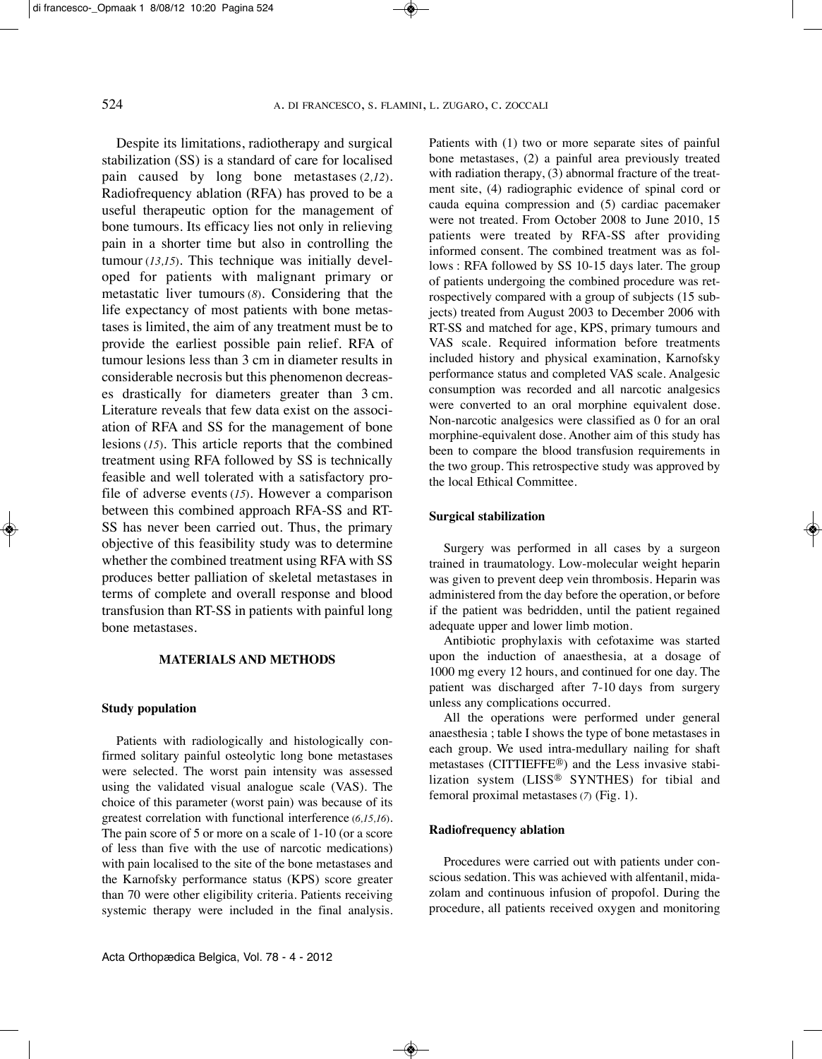Despite its limitations, radiotherapy and surgical stabilization (SS) is a standard of care for localised pain caused by long bone metastases (*2,12*). Radiofrequency ablation (RFA) has proved to be a useful therapeutic option for the management of bone tumours. Its efficacy lies not only in relieving pain in a shorter time but also in controlling the tumour (*13,15*). This technique was initially developed for patients with malignant primary or metastatic liver tumours (*8*). Considering that the life expectancy of most patients with bone metastases is limited, the aim of any treatment must be to provide the earliest possible pain relief. RFA of tumour lesions less than 3 cm in diameter results in considerable necrosis but this phenomenon decreases drastically for diameters greater than 3 cm. Literature reveals that few data exist on the association of RFA and SS for the management of bone lesions (*15*). This article reports that the combined treatment using RFA followed by SS is technically feasible and well tolerated with a satisfactory profile of adverse events (*15*). However a comparison between this combined approach RFA-SS and RT-SS has never been carried out. Thus, the primary objective of this feasibility study was to determine whether the combined treatment using RFA with SS produces better palliation of skeletal metastases in terms of complete and overall response and blood transfusion than RT-SS in patients with painful long bone metastases.

## **MATERIALS AND METHODS**

# **Study population**

Patients with radiologically and histologically confirmed solitary painful osteolytic long bone metastases were selected. The worst pain intensity was assessed using the validated visual analogue scale (VAS). The choice of this parameter (worst pain) was because of its greatest correlation with functional interference (*6,15,16*). The pain score of 5 or more on a scale of 1-10 (or a score of less than five with the use of narcotic medications) with pain localised to the site of the bone metastases and the Karnofsky performance status (KPS) score greater than 70 were other eligibility criteria. Patients receiving systemic therapy were included in the final analysis. Patients with (1) two or more separate sites of painful bone metastases, (2) a painful area previously treated with radiation therapy, (3) abnormal fracture of the treatment site, (4) radiographic evidence of spinal cord or cauda equina compression and (5) cardiac pacemaker were not treated. From October 2008 to June 2010, 15 patients were treated by RFA-SS after providing informed consent. The combined treatment was as follows : RFA followed by SS 10-15 days later. The group of patients undergoing the combined procedure was retrospectively compared with a group of subjects (15 subjects) treated from August 2003 to December 2006 with RT-SS and matched for age, KPS, primary tumours and VAS scale. Required information before treatments included history and physical examination, Karnofsky performance status and completed VAS scale. Analgesic consumption was recorded and all narcotic analgesics were converted to an oral morphine equivalent dose. Non-narcotic analgesics were classified as 0 for an oral morphine-equivalent dose. Another aim of this study has been to compare the blood transfusion requirements in the two group. This retrospective study was approved by the local Ethical Committee.

# **Surgical stabilization**

Surgery was performed in all cases by a surgeon trained in traumatology. Low-molecular weight heparin was given to prevent deep vein thrombosis. Heparin was administered from the day before the operation, or before if the patient was bedridden, until the patient regained adequate upper and lower limb motion.

Antibiotic prophylaxis with cefotaxime was started upon the induction of anaesthesia, at a dosage of 1000 mg every 12 hours, and continued for one day. The patient was discharged after 7-10 days from surgery unless any complications occurred.

All the operations were performed under general anaesthesia ; table I shows the type of bone metastases in each group. We used intra-medullary nailing for shaft metastases (CITTIEFFE®) and the Less invasive stabilization system (LISS® SYnTHES) for tibial and femoral proximal metastases (*7*) (Fig. 1).

## **Radiofrequency ablation**

Procedures were carried out with patients under conscious sedation. This was achieved with alfentanil, midazolam and continuous infusion of propofol. During the procedure, all patients received oxygen and monitoring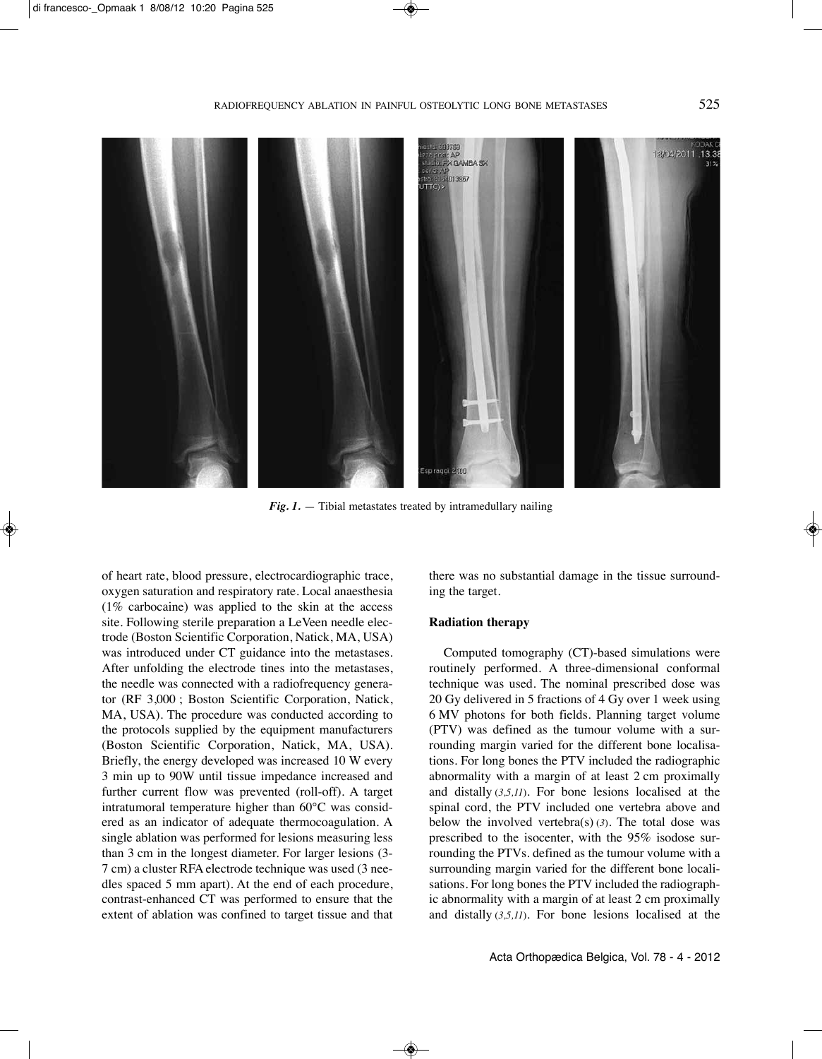

*Fig. 1.* — Tibial metastates treated by intramedullary nailing

of heart rate, blood pressure, electrocardiographic trace, oxygen saturation and respiratory rate. Local anaesthesia (1% carbocaine) was applied to the skin at the access site. Following sterile preparation a LeVeen needle electrode (Boston Scientific Corporation, Natick, MA, USA) was introduced under CT guidance into the metastases. After unfolding the electrode tines into the metastases, the needle was connected with a radiofrequency generator (RF 3,000 ; Boston Scientific Corporation, natick, MA, uSA). The procedure was conducted according to the protocols supplied by the equipment manufacturers (Boston Scientific Corporation, natick, MA, uSA). Briefly, the energy developed was increased 10 W every 3 min up to 90W until tissue impedance increased and further current flow was prevented (roll-off). A target intratumoral temperature higher than 60°C was considered as an indicator of adequate thermocoagulation. A single ablation was performed for lesions measuring less than 3 cm in the longest diameter. For larger lesions (3- 7 cm) a cluster RFA electrode technique was used (3 needles spaced 5 mm apart). At the end of each procedure, contrast-enhanced CT was performed to ensure that the extent of ablation was confined to target tissue and that there was no substantial damage in the tissue surrounding the target.

# **Radiation therapy**

Computed tomography (CT)-based simulations were routinely performed. A three-dimensional conformal technique was used. The nominal prescribed dose was 20 Gy delivered in 5 fractions of 4 Gy over 1 week using 6 MV photons for both fields. Planning target volume (PTV) was defined as the tumour volume with a surrounding margin varied for the different bone localisations. For long bones the PTV included the radiographic abnormality with a margin of at least 2 cm proximally and distally (*3,5,11*). For bone lesions localised at the spinal cord, the PTV included one vertebra above and below the involved vertebra(s) (*3*). The total dose was prescribed to the isocenter, with the 95% isodose surrounding the PTVs. defined as the tumour volume with a surrounding margin varied for the different bone localisations. For long bones the PTV included the radiographic abnormality with a margin of at least 2 cm proximally and distally (*3,5,11*). For bone lesions localised at the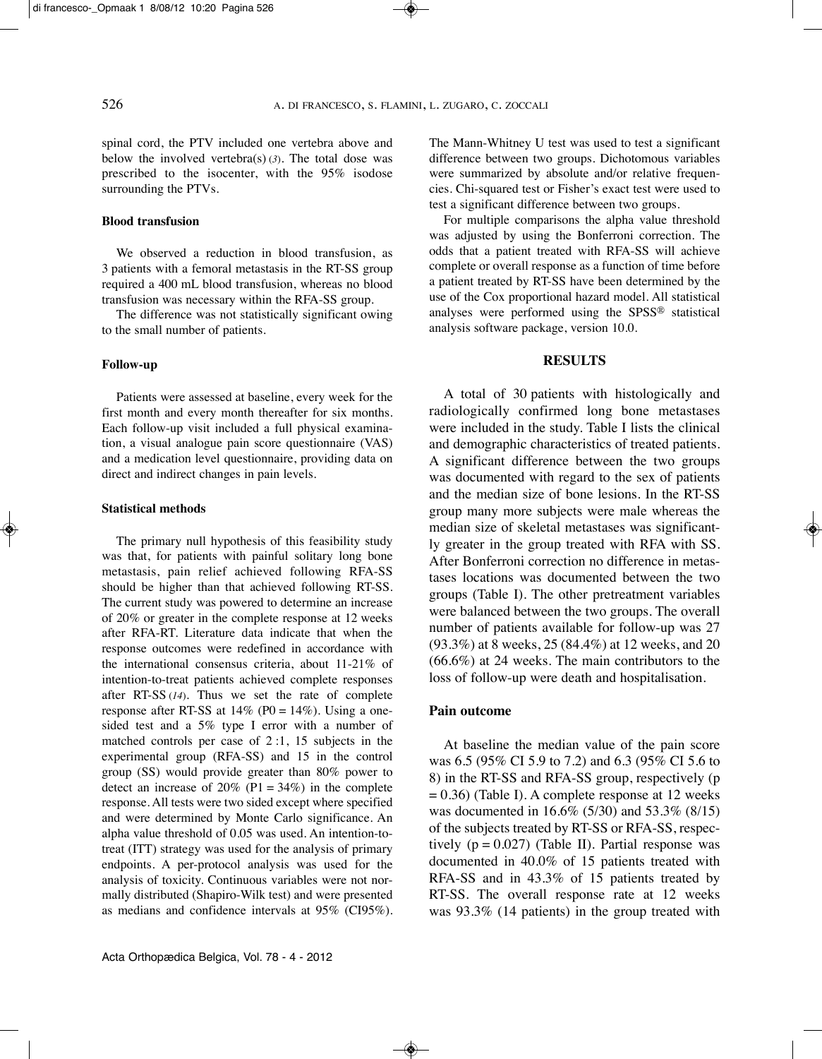spinal cord, the PTV included one vertebra above and below the involved vertebra(s) (*3*). The total dose was prescribed to the isocenter, with the 95% isodose surrounding the PTVs.

## **Blood transfusion**

We observed a reduction in blood transfusion, as 3 patients with a femoral metastasis in the RT-SS group required a 400 mL blood transfusion, whereas no blood transfusion was necessary within the RFA-SS group.

The difference was not statistically significant owing to the small number of patients.

#### **Follow-up**

Patients were assessed at baseline, every week for the first month and every month thereafter for six months. Each follow-up visit included a full physical examination, a visual analogue pain score questionnaire (VAS) and a medication level questionnaire, providing data on direct and indirect changes in pain levels.

#### **Statistical methods**

The primary null hypothesis of this feasibility study was that, for patients with painful solitary long bone metastasis, pain relief achieved following RFA-SS should be higher than that achieved following RT-SS. The current study was powered to determine an increase of 20% or greater in the complete response at 12 weeks after RFA-RT. Literature data indicate that when the response outcomes were redefined in accordance with the international consensus criteria, about 11-21% of intention-to-treat patients achieved complete responses after RT-SS (*14*). Thus we set the rate of complete response after RT-SS at  $14\%$  (P0 =  $14\%$ ). Using a onesided test and a 5% type I error with a number of matched controls per case of 2 :1, 15 subjects in the experimental group (RFA-SS) and 15 in the control group (SS) would provide greater than 80% power to detect an increase of  $20\%$  (P1 = 34%) in the complete response. All tests were two sided except where specified and were determined by Monte Carlo significance. An alpha value threshold of 0.05 was used. An intention-totreat (ITT) strategy was used for the analysis of primary endpoints. A per-protocol analysis was used for the analysis of toxicity. Continuous variables were not normally distributed (Shapiro-Wilk test) and were presented as medians and confidence intervals at 95% (CI95%). The Mann-Whitney U test was used to test a significant difference between two groups. Dichotomous variables were summarized by absolute and/or relative frequencies. Chi-squared test or Fisher's exact test were used to test a significant difference between two groups.

For multiple comparisons the alpha value threshold was adjusted by using the Bonferroni correction. The odds that a patient treated with RFA-SS will achieve complete or overall response as a function of time before a patient treated by RT-SS have been determined by the use of the Cox proportional hazard model. All statistical analyses were performed using the SPSS® statistical analysis software package, version 10.0.

## **RESULTS**

A total of 30 patients with histologically and radiologically confirmed long bone metastases were included in the study. Table I lists the clinical and demographic characteristics of treated patients. A significant difference between the two groups was documented with regard to the sex of patients and the median size of bone lesions. In the RT-SS group many more subjects were male whereas the median size of skeletal metastases was significantly greater in the group treated with RFA with SS. After Bonferroni correction no difference in metastases locations was documented between the two groups (Table I). The other pretreatment variables were balanced between the two groups. The overall number of patients available for follow-up was 27 (93.3%) at 8 weeks, 25 (84.4%) at 12 weeks, and 20 (66.6%) at 24 weeks. The main contributors to the loss of follow-up were death and hospitalisation.

# **Pain outcome**

At baseline the median value of the pain score was 6.5 (95% CI 5.9 to 7.2) and 6.3 (95% CI 5.6 to 8) in the RT-SS and RFA-SS group, respectively (p  $= 0.36$ ) (Table I). A complete response at 12 weeks was documented in 16.6% (5/30) and 53.3% (8/15) of the subjects treated by RT-SS or RFA-SS, respectively  $(p = 0.027)$  (Table II). Partial response was documented in 40.0% of 15 patients treated with RFA-SS and in 43.3% of 15 patients treated by RT-SS. The overall response rate at 12 weeks was 93.3% (14 patients) in the group treated with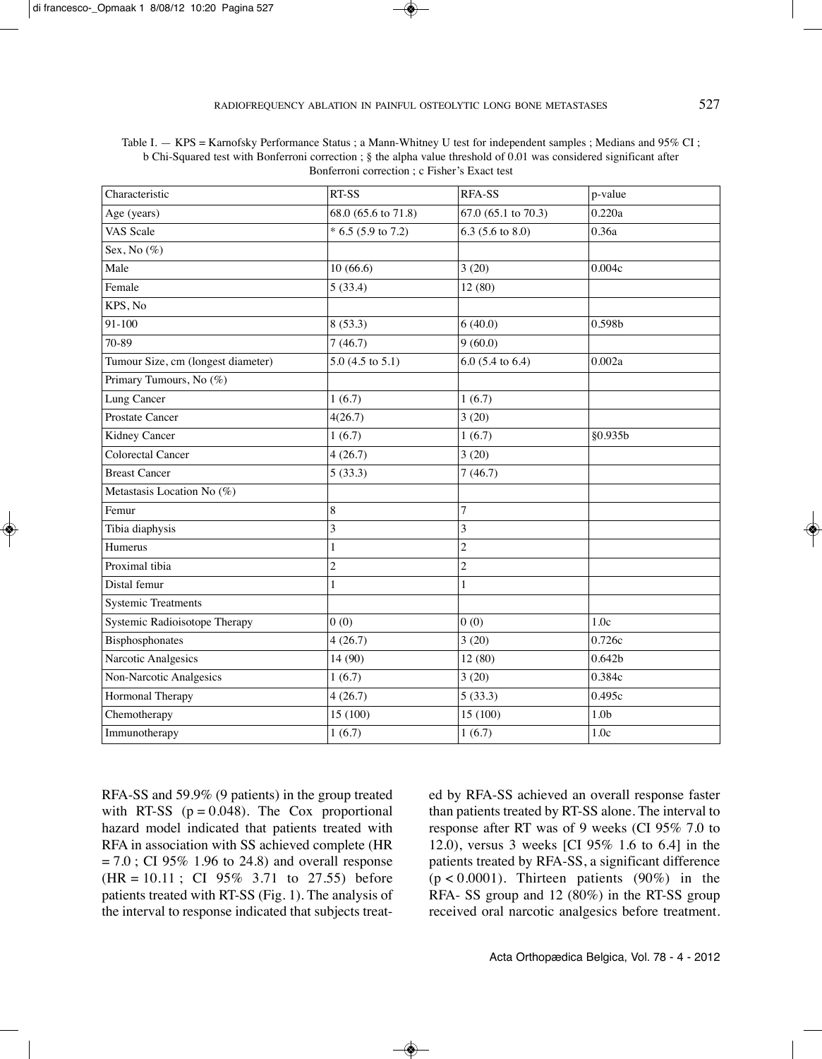| Characteristic                     | RT-SS                 | RFA-SS              | p-value            |  |  |
|------------------------------------|-----------------------|---------------------|--------------------|--|--|
| Age (years)                        | 68.0 (65.6 to 71.8)   | 67.0 (65.1 to 70.3) | 0.220a             |  |  |
| VAS Scale                          | $* 6.5 (5.9 to 7.2)$  | 6.3 (5.6 to 8.0)    | 0.36a              |  |  |
| Sex, No $(\%)$                     |                       |                     |                    |  |  |
| Male                               | 10(66.6)              | 3(20)               | 0.004c             |  |  |
| Female                             | 5(33.4)               | 12 (80)             |                    |  |  |
| KPS, No                            |                       |                     |                    |  |  |
| 91-100                             | 8(53.3)               | 6(40.0)             | 0.598b             |  |  |
| 70-89                              | 7(46.7)               | 9(60.0)             |                    |  |  |
| Tumour Size, cm (longest diameter) | $5.0$ (4.5 to $5.1$ ) | $6.0$ (5.4 to 6.4)  | 0.002a             |  |  |
| Primary Tumours, No (%)            |                       |                     |                    |  |  |
| Lung Cancer                        | 1(6.7)                | 1(6.7)              |                    |  |  |
| Prostate Cancer                    | 4(26.7)               | 3(20)               |                    |  |  |
| Kidney Cancer                      | 1(6.7)                | 1(6.7)              | §0.935b            |  |  |
| <b>Colorectal Cancer</b>           | 4(26.7)               | 3(20)               |                    |  |  |
| <b>Breast Cancer</b>               | 5(33.3)               | 7(46.7)             |                    |  |  |
| Metastasis Location No (%)         |                       |                     |                    |  |  |
| Femur                              | $\,8\,$               | 7                   |                    |  |  |
| Tibia diaphysis                    | 3                     | 3                   |                    |  |  |
| Humerus                            | $\mathbf{1}$          | $\overline{c}$      |                    |  |  |
| Proximal tibia                     | $\overline{c}$        | $\overline{c}$      |                    |  |  |
| Distal femur                       | $\,1$                 | $\mathbf{1}$        |                    |  |  |
| <b>Systemic Treatments</b>         |                       |                     |                    |  |  |
| Systemic Radioisotope Therapy      | 0(0)                  | 0(0)                | 1.0c               |  |  |
| Bisphosphonates                    | 4(26.7)               | 3(20)               | 0.726c             |  |  |
| Narcotic Analgesics                | 14(90)                | 12(80)              | 0.642 <sub>b</sub> |  |  |
| Non-Narcotic Analgesics            | 1(6.7)                | 3(20)               | 0.384c             |  |  |
| Hormonal Therapy                   | 4(26.7)               | 5(33.3)             | 0.495c             |  |  |
| Chemotherapy                       | 15(100)               | 15 (100)            | 1.0 <sub>b</sub>   |  |  |
| Immunotherapy                      | 1(6.7)                | 1(6.7)              | 1.0c               |  |  |

| Table I. – KPS = Karnofsky Performance Status ; a Mann-Whitney U test for independent samples ; Medians and 95% CI  |
|---------------------------------------------------------------------------------------------------------------------|
| b Chi-Squared test with Bonferroni correction; § the alpha value threshold of 0.01 was considered significant after |
| Bonferroni correction : c Fisher's Exact test                                                                       |

RFA-SS and 59.9% (9 patients) in the group treated with RT-SS ( $p = 0.048$ ). The Cox proportional hazard model indicated that patients treated with RFA in association with SS achieved complete (HR  $= 7.0$ ; CI 95% 1.96 to 24.8) and overall response  $(HR = 10.11$ ; CI 95% 3.71 to 27.55) before patients treated with RT-SS (Fig. 1). The analysis of the interval to response indicated that subjects treated by RFA-SS achieved an overall response faster than patients treated by RT-SS alone. The interval to response after RT was of 9 weeks (CI 95% 7.0 to 12.0), versus 3 weeks [CI 95% 1.6 to 6.4] in the patients treated by RFA-SS, a significant difference  $(p < 0.0001)$ . Thirteen patients  $(90\%)$  in the RFA- SS group and 12 (80%) in the RT-SS group received oral narcotic analgesics before treatment.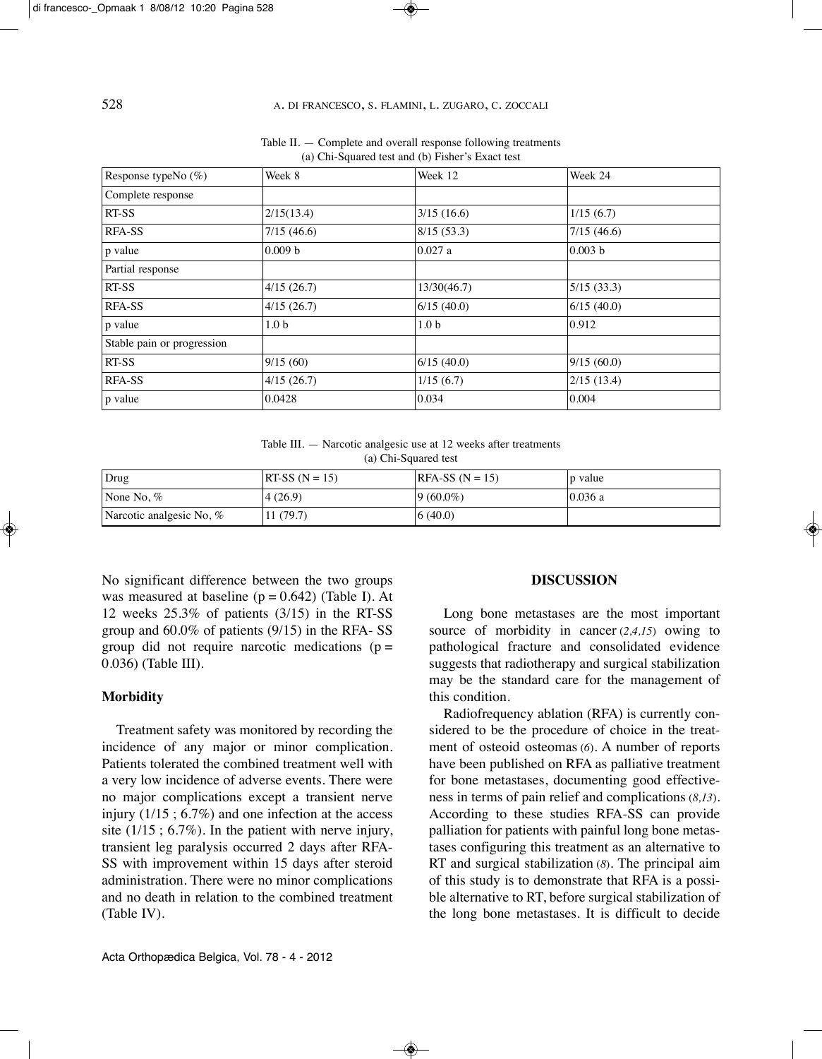| Response typeNo (%)        | Week 8             | Week 12          | Week 24    |  |
|----------------------------|--------------------|------------------|------------|--|
| Complete response          |                    |                  |            |  |
| <b>RT-SS</b>               | 2/15(13.4)         | 3/15(16.6)       | 1/15(6.7)  |  |
| <b>RFA-SS</b>              | 7/15(46.6)         | 8/15(53.3)       | 7/15(46.6) |  |
| p value                    | 0.009 <sub>b</sub> | 0.027 a          | 0.003 b    |  |
| Partial response           |                    |                  |            |  |
| RT-SS                      | 4/15(26.7)         | 13/30(46.7)      | 5/15(33.3) |  |
| <b>RFA-SS</b>              | 4/15(26.7)         | 6/15(40.0)       | 6/15(40.0) |  |
| p value                    | 1.0 <sub>b</sub>   | 1.0 <sub>b</sub> | 0.912      |  |
| Stable pain or progression |                    |                  |            |  |
| <b>RT-SS</b>               | 9/15(60)           | 6/15(40.0)       | 9/15(60.0) |  |
| <b>RFA-SS</b>              | 4/15(26.7)         | 1/15(6.7)        | 2/15(13.4) |  |
| p value                    | 0.0428             | 0.034            | 0.004      |  |

Table II. — Complete and overall response following treatments (a) Chi-Squared test and (b) Fisher's Exact test

Table III. - Narcotic analgesic use at 12 weeks after treatments (a) Chi-Squared test

| Drug                     | $ RT-SS (N = 15) $ | $ RFA-SS (N = 15) $ | p value |
|--------------------------|--------------------|---------------------|---------|
| None No, $%$             | (4(26.9))          | $ 9(60.0\%)$        | 0.036a  |
| Narcotic analgesic No, % | 11(79.7)           | (6(40.0)            |         |

No significant difference between the two groups was measured at baseline  $(p = 0.642)$  (Table I). At 12 weeks 25.3% of patients (3/15) in the RT-SS group and 60.0% of patients (9/15) in the RFA- SS group did not require narcotic medications ( $p =$ 0.036) (Table III).

# **Morbidity**

Treatment safety was monitored by recording the incidence of any major or minor complication. Patients tolerated the combined treatment well with a very low incidence of adverse events. There were no major complications except a transient nerve injury (1/15 ; 6.7%) and one infection at the access site  $(1/15: 6.7\%)$ . In the patient with nerve injury, transient leg paralysis occurred 2 days after RFA-SS with improvement within 15 days after steroid administration. There were no minor complications and no death in relation to the combined treatment (Table IV).

### **DISCUSSION**

Long bone metastases are the most important source of morbidity in cancer (*2,4,15*) owing to pathological fracture and consolidated evidence suggests that radiotherapy and surgical stabilization may be the standard care for the management of this condition.

Radiofrequency ablation (RFA) is currently considered to be the procedure of choice in the treatment of osteoid osteomas (*6*). A number of reports have been published on RFA as palliative treatment for bone metastases, documenting good effectiveness in terms of pain relief and complications (*8,13*). According to these studies RFA-SS can provide palliation for patients with painful long bone metastases configuring this treatment as an alternative to RT and surgical stabilization (*8*). The principal aim of this study is to demonstrate that RFA is a possible alternative to RT, before surgical stabilization of the long bone metastases. It is difficult to decide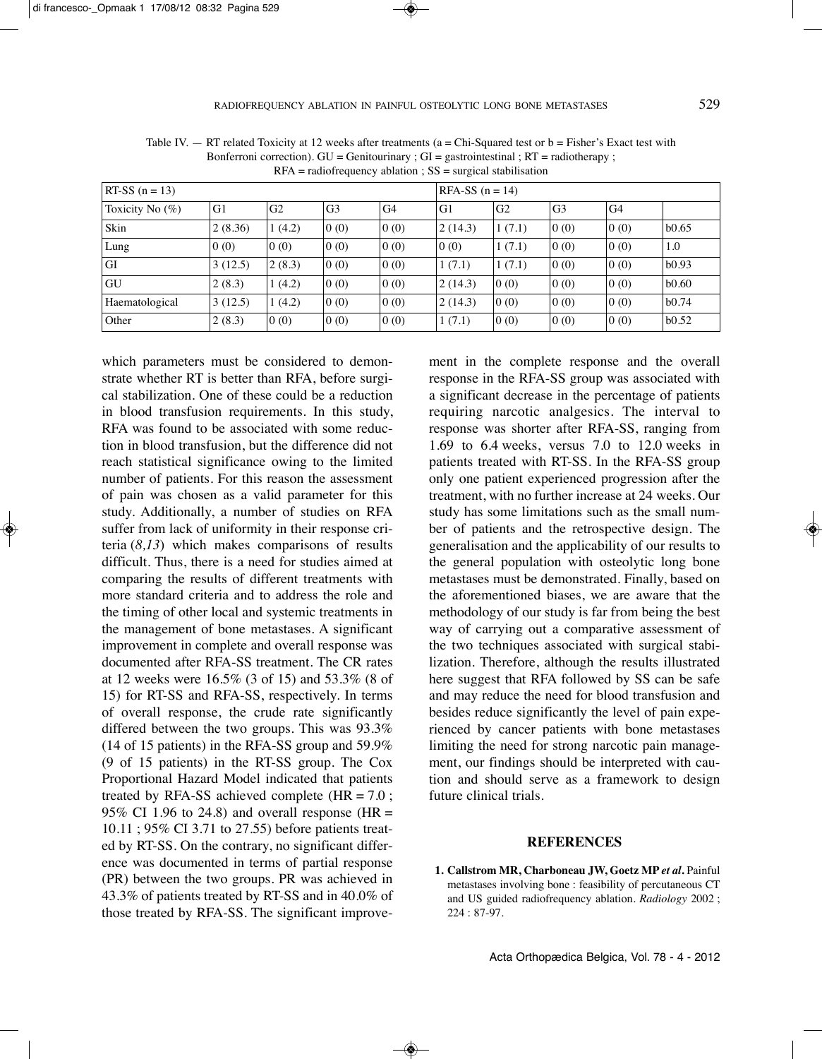| $RT-SS$ (n = 13)   |         |                | $RFA-SS$ (n = 14) |                |         |                |                |                |       |
|--------------------|---------|----------------|-------------------|----------------|---------|----------------|----------------|----------------|-------|
| Toxicity No $(\%)$ | G1      | G <sub>2</sub> | G <sub>3</sub>    | G <sub>4</sub> | G1      | G <sub>2</sub> | G <sub>3</sub> | G <sub>4</sub> |       |
| Skin               | 2(8.36) | 1(4.2)         | 0(0)              | 0(0)           | 2(14.3) | 1(7.1)         | 0(0)           | 0(0)           | b0.65 |
| Lung               | 0(0)    | 0(0)           | 0(0)              | 0(0)           | 0(0)    | 1(7.1)         | 0(0)           | 0(0)           | 1.0   |
| GI                 | 3(12.5) | 2(8.3)         | 0(0)              | 0(0)           | 1(7.1)  | 1(7.1)         | 0(0)           | 0(0)           | b0.93 |
| GU                 | 2(8.3)  | 1(4.2)         | 0(0)              | 0(0)           | 2(14.3) | 0(0)           | 0(0)           | 0(0)           | b0.60 |
| Haematological     | 3(12.5) | 1(4.2)         | 0(0)              | 0(0)           | 2(14.3) | 0(0)           | 0(0)           | 0(0)           | b0.74 |
| Other              | 2(8.3)  | 0(0)           | 0(0)              | 0(0)           | 1(7.1)  | 0(0)           | 0(0)           | 0(0)           | b0.52 |

Table IV.  $-$  RT related Toxicity at 12 weeks after treatments (a = Chi-Squared test or b = Fisher's Exact test with Bonferroni correction).  $GU = Genitourinary : GI = gastrointestinal : RT = radiotheravy : I = f, I = f$  $RFA = \text{radiofrequency ablation}$ ;  $SS = \text{surgical stabilization}$ 

which parameters must be considered to demonstrate whether RT is better than RFA, before surgical stabilization. One of these could be a reduction in blood transfusion requirements. In this study, RFA was found to be associated with some reduction in blood transfusion, but the difference did not reach statistical significance owing to the limited number of patients. For this reason the assessment of pain was chosen as a valid parameter for this study. Additionally, a number of studies on RFA suffer from lack of uniformity in their response criteria (*8,13*) which makes comparisons of results difficult. Thus, there is a need for studies aimed at comparing the results of different treatments with more standard criteria and to address the role and the timing of other local and systemic treatments in the management of bone metastases. A significant improvement in complete and overall response was documented after RFA-SS treatment. The CR rates at 12 weeks were 16.5% (3 of 15) and 53.3% (8 of 15) for RT-SS and RFA-SS, respectively. In terms of overall response, the crude rate significantly differed between the two groups. This was 93.3% (14 of 15 patients) in the RFA-SS group and 59.9% (9 of 15 patients) in the RT-SS group. The Cox Proportional Hazard Model indicated that patients treated by RFA-SS achieved complete  $(HR = 7.0$ ; 95% CI 1.96 to 24.8) and overall response (HR  $=$ 10.11 ; 95% CI 3.71 to 27.55) before patients treated by RT-SS. On the contrary, no significant difference was documented in terms of partial response (pR) between the two groups. pR was achieved in 43.3% of patients treated by RT-SS and in 40.0% of those treated by RFA-SS. The significant improvement in the complete response and the overall response in the RFA-SS group was associated with a significant decrease in the percentage of patients requiring narcotic analgesics. The interval to response was shorter after RFA-SS, ranging from 1.69 to 6.4 weeks, versus 7.0 to 12.0 weeks in patients treated with RT-SS. In the RFA-SS group only one patient experienced progression after the treatment, with no further increase at 24 weeks. Our study has some limitations such as the small number of patients and the retrospective design. The generalisation and the applicability of our results to the general population with osteolytic long bone metastases must be demonstrated. Finally, based on the aforementioned biases, we are aware that the methodology of our study is far from being the best way of carrying out a comparative assessment of the two techniques associated with surgical stabilization. Therefore, although the results illustrated here suggest that RFA followed by SS can be safe and may reduce the need for blood transfusion and besides reduce significantly the level of pain experienced by cancer patients with bone metastases limiting the need for strong narcotic pain management, our findings should be interpreted with caution and should serve as a framework to design future clinical trials.

# **REFERENCES**

**1. Callstrom MR, Charboneau JW, Goetz MP** *et al***.** painful metastases involving bone : feasibility of percutaneous CT and US guided radiofrequency ablation. *Radiology* 2002 ; 224 : 87-97.